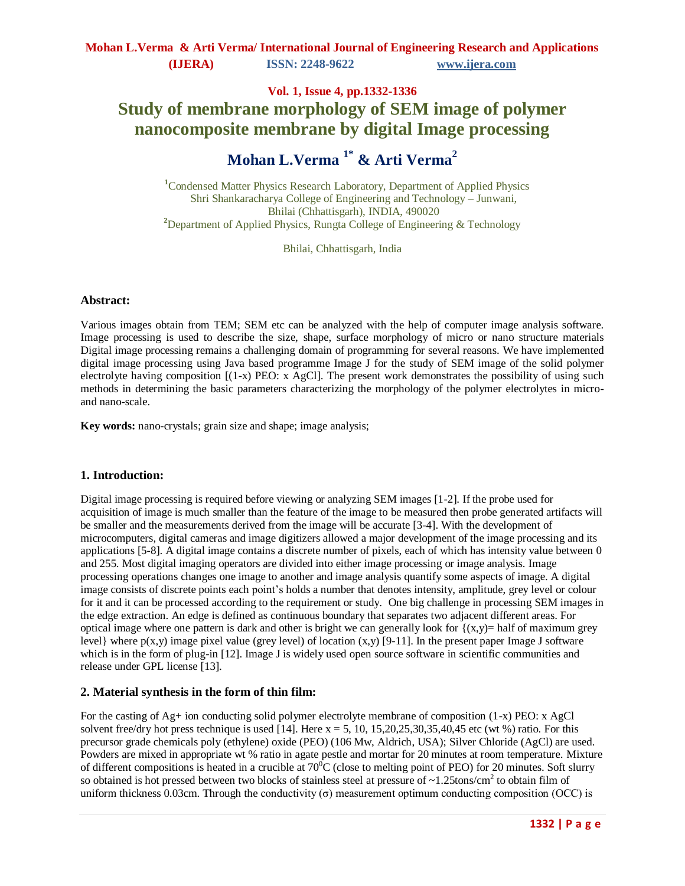# **Vol. 1, Issue 4, pp.1332-1336 Study of membrane morphology of SEM image of polymer nanocomposite membrane by digital Image processing**

# **Mohan L.Verma 1\* & Arti Verma<sup>2</sup>**

**<sup>1</sup>**Condensed Matter Physics Research Laboratory, Department of Applied Physics Shri Shankaracharya College of Engineering and Technology – Junwani, Bhilai (Chhattisgarh), INDIA, 490020 <sup>2</sup>Department of Applied Physics, Rungta College of Engineering & Technology

Bhilai, Chhattisgarh, India

#### **Abstract:**

Various images obtain from TEM; SEM etc can be analyzed with the help of computer image analysis software. Image processing is used to describe the size, shape, surface morphology of micro or nano structure materials Digital image processing remains a challenging domain of programming for several reasons. We have implemented digital image processing using Java based programme Image J for the study of SEM image of the solid polymer electrolyte having composition  $[(1-x)$  PEO: x AgCl]. The present work demonstrates the possibility of using such methods in determining the basic parameters characterizing the morphology of the polymer electrolytes in microand nano-scale.

**Key words:** nano-crystals; grain size and shape; image analysis;

#### **1. Introduction:**

Digital image processing is required before viewing or analyzing SEM images [1-2]. If the probe used for acquisition of image is much smaller than the feature of the image to be measured then probe generated artifacts will be smaller and the measurements derived from the image will be accurate [3-4]. With the development of microcomputers, digital cameras and image digitizers allowed a major development of the image processing and its applications [5-8]. A digital image contains a discrete number of pixels, each of which has intensity value between 0 and 255. Most digital imaging operators are divided into either image processing or image analysis. Image processing operations changes one image to another and image analysis quantify some aspects of image. A digital image consists of discrete points each point's holds a number that denotes intensity, amplitude, grey level or colour for it and it can be processed according to the requirement or study. One big challenge in processing SEM images in the edge extraction. An edge is defined as continuous boundary that separates two adjacent different areas. For optical image where one pattern is dark and other is bright we can generally look for  $\{(x,y)=\text{half of maximum grey}\}$ level} where  $p(x,y)$  image pixel value (grey level) of location  $(x,y)$  [9-11]. In the present paper Image J software which is in the form of plug-in [12]. Image J is widely used open source software in scientific communities and release under GPL license [13].

## **2. Material synthesis in the form of thin film:**

For the casting of  $Ag+$  ion conducting solid polymer electrolyte membrane of composition (1-x) PEO: x AgCl solvent free/dry hot press technique is used [14]. Here  $x = 5$ , 10, 15,20,25,30,35,40,45 etc (wt %) ratio. For this precursor grade chemicals poly (ethylene) oxide (PEO) (106 Mw, Aldrich, USA); Silver Chloride (AgCl) are used. Powders are mixed in appropriate wt % ratio in agate pestle and mortar for 20 minutes at room temperature. Mixture of different compositions is heated in a crucible at  $70^{\circ}$ C (close to melting point of PEO) for 20 minutes. Soft slurry so obtained is hot pressed between two blocks of stainless steel at pressure of  $\sim$ 1.25tons/cm<sup>2</sup> to obtain film of uniform thickness 0.03cm. Through the conductivity (σ) measurement optimum conducting composition (OCC) is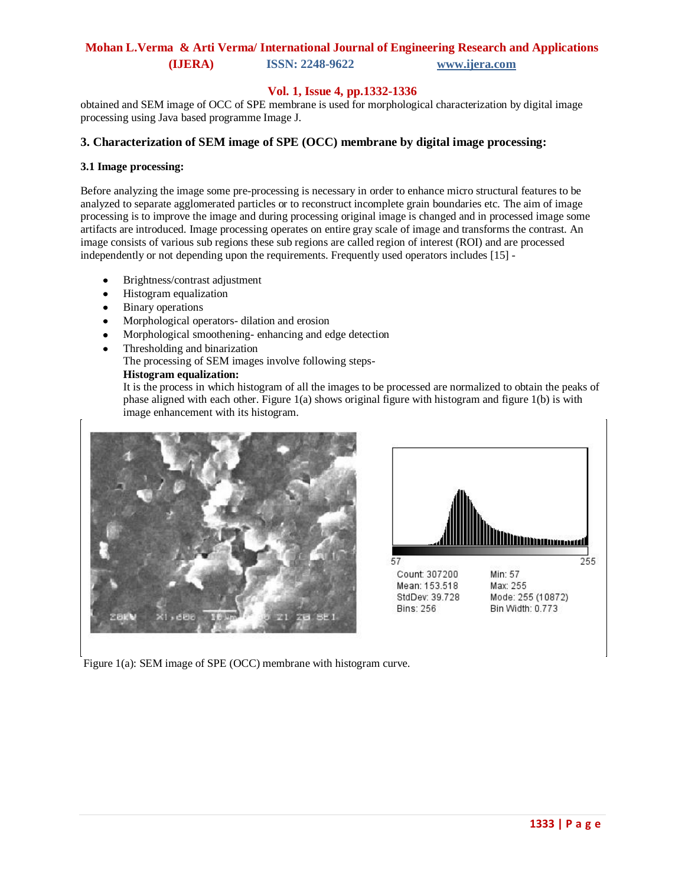## **Mohan L.Verma & Arti Verma/ International Journal of Engineering Research and Applications (IJERA) ISSN: 2248-9622 www.ijera.com**

## **Vol. 1, Issue 4, pp.1332-1336**

obtained and SEM image of OCC of SPE membrane is used for morphological characterization by digital image processing using Java based programme Image J.

## **3. Characterization of SEM image of SPE (OCC) membrane by digital image processing:**

#### **3.1 Image processing:**

Before analyzing the image some pre-processing is necessary in order to enhance micro structural features to be analyzed to separate agglomerated particles or to reconstruct incomplete grain boundaries etc. The aim of image processing is to improve the image and during processing original image is changed and in processed image some artifacts are introduced. Image processing operates on entire gray scale of image and transforms the contrast. An image consists of various sub regions these sub regions are called region of interest (ROI) and are processed independently or not depending upon the requirements. Frequently used operators includes [15] -

- Brightness/contrast adjustment  $\bullet$
- Histogram equalization  $\bullet$
- Binary operations  $\bullet$
- Morphological operators- dilation and erosion  $\bullet$
- Morphological smoothening- enhancing and edge detection  $\bullet$
- Thresholding and binarization The processing of SEM images involve following steps-**Histogram equalization:**

It is the process in which histogram of all the images to be processed are normalized to obtain the peaks of phase aligned with each other. Figure 1(a) shows original figure with histogram and figure 1(b) is with image enhancement with its histogram.





Figure 1(a): SEM image of SPE (OCC) membrane with histogram curve.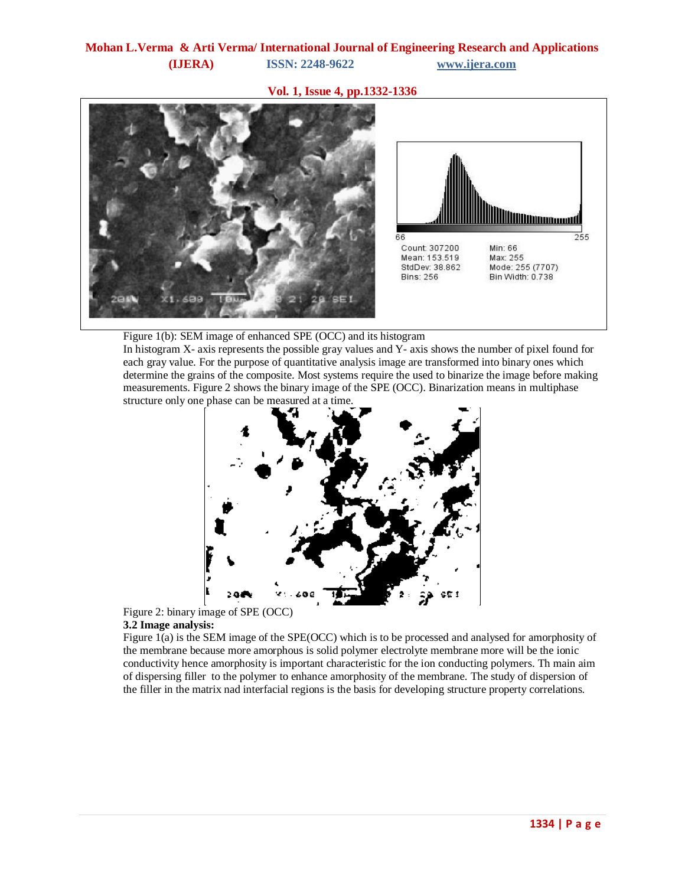## **Vol. 1, Issue 4, pp.1332-1336**



#### Figure 1(b): SEM image of enhanced SPE (OCC) and its histogram

In histogram X- axis represents the possible gray values and Y- axis shows the number of pixel found for each gray value. For the purpose of quantitative analysis image are transformed into binary ones which determine the grains of the composite. Most systems require the used to binarize the image before making measurements. Figure 2 shows the binary image of the SPE (OCC). Binarization means in multiphase structure only one phase can be measured at a time.





Figure 1(a) is the SEM image of the SPE(OCC) which is to be processed and analysed for amorphosity of the membrane because more amorphous is solid polymer electrolyte membrane more will be the ionic conductivity hence amorphosity is important characteristic for the ion conducting polymers. Th main aim of dispersing filler to the polymer to enhance amorphosity of the membrane. The study of dispersion of the filler in the matrix nad interfacial regions is the basis for developing structure property correlations.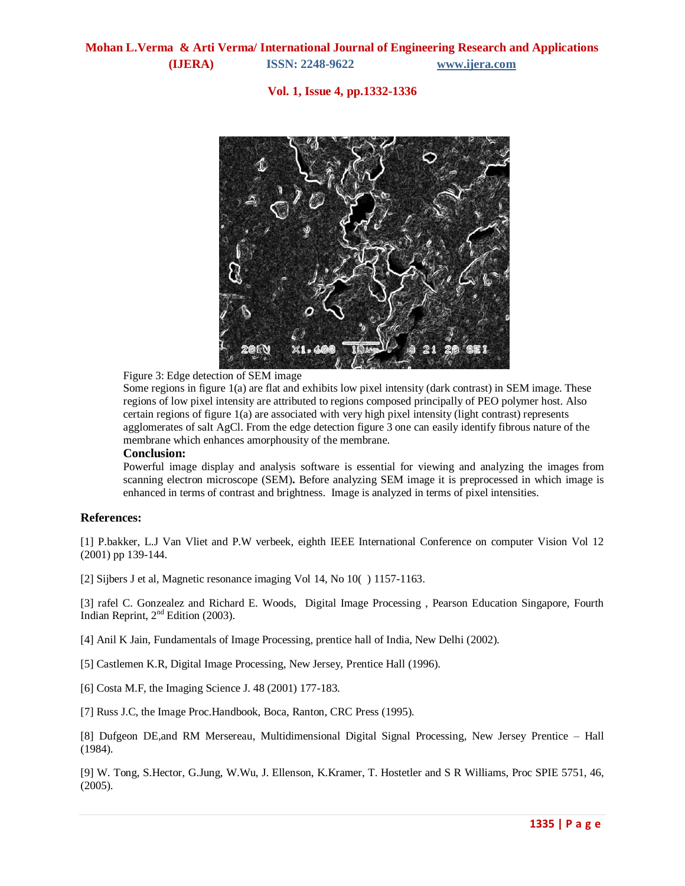**Vol. 1, Issue 4, pp.1332-1336**



Figure 3: Edge detection of SEM image

Some regions in figure 1(a) are flat and exhibits low pixel intensity (dark contrast) in SEM image. These regions of low pixel intensity are attributed to regions composed principally of PEO polymer host. Also certain regions of figure 1(a) are associated with very high pixel intensity (light contrast) represents agglomerates of salt AgCl. From the edge detection figure 3 one can easily identify fibrous nature of the membrane which enhances amorphousity of the membrane.

#### **Conclusion:**

Powerful image display and analysis software is essential for viewing and analyzing the images from scanning electron microscope (SEM)**.** Before analyzing SEM image it is preprocessed in which image is enhanced in terms of contrast and brightness. Image is analyzed in terms of pixel intensities.

#### **References:**

[1] P.bakker, L.J Van Vliet and P.W verbeek, eighth IEEE International Conference on computer Vision Vol 12 (2001) pp 139-144.

[2] Sijbers J et al, Magnetic resonance imaging Vol 14, No 10( ) 1157-1163.

[3] rafel C. Gonzealez and Richard E. Woods, Digital Image Processing , Pearson Education Singapore, Fourth Indian Reprint,  $2<sup>nd</sup>$  Edition (2003).

[4] Anil K Jain, Fundamentals of Image Processing, prentice hall of India, New Delhi (2002).

[5] Castlemen K.R, Digital Image Processing, New Jersey, Prentice Hall (1996).

[6] Costa M.F, the Imaging Science J. 48 (2001) 177-183.

[7] Russ J.C, the Image Proc.Handbook, Boca, Ranton, CRC Press (1995).

[8] Dufgeon DE,and RM Mersereau, Multidimensional Digital Signal Processing, New Jersey Prentice – Hall (1984).

[9] W. Tong, S.Hector, G.Jung, W.Wu, J. Ellenson, K.Kramer, T. Hostetler and S R Williams, Proc SPIE 5751, 46, (2005).